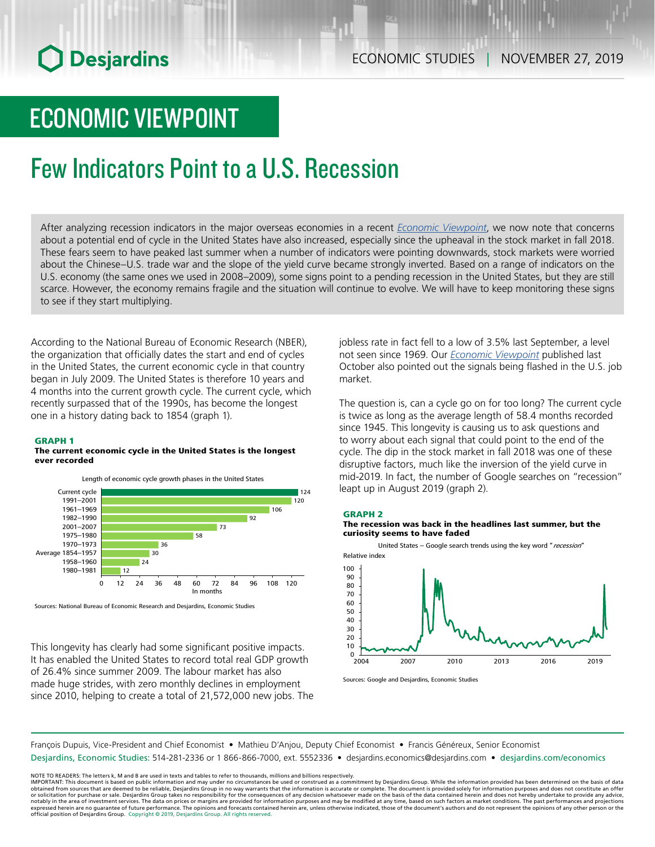# **O** Desjardins

## ECONOMIC VIEWPOINT

## Few Indicators Point to a U.S. Recession

After analyzing recession indicators in the major overseas economies in a recent *Economic [Viewpoint](https://www.desjardins.com/ressources/pdf/pv191122-e.pdf?resVer=1574434110000)*, we now note that concerns about a potential end of cycle in the United States have also increased, especially since the upheaval in the stock market in fall 2018. These fears seem to have peaked last summer when a number of indicators were pointing downwards, stock markets were worried about the Chinese–U.S. trade war and the slope of the yield curve became strongly inverted. Based on a range of indicators on the U.S. economy (the same ones we used in 2008–2009), some signs point to a pending recession in the United States, but they are still scarce. However, the economy remains fragile and the situation will continue to evolve. We will have to keep monitoring these signs to see if they start multiplying.

According to the National Bureau of Economic Research (NBER), the organization that officially dates the start and end of cycles in the United States, the current economic cycle in that country began in July 2009. The United States is therefore 10 years and 4 months into the current growth cycle. The current cycle, which recently surpassed that of the 1990s, has become the longest one in a history dating back to 1854 (graph 1).

#### GRAPH 1

#### The current economic cycle in the United States is the longest ever recorded



Sources: National Bureau of Economic Research and Desjardins, Economic Studies

This longevity has clearly had some significant positive impacts. It has enabled the United States to record total real GDP growth of 26.4% since summer 2009. The labour market has also made huge strides, with zero monthly declines in employment since 2010, helping to create a total of 21,572,000 new jobs. The jobless rate in fact fell to a low of 3.5% last September, a level not seen since 1969. Our *Economic [Viewpoint](https://www.desjardins.com/ressources/pdf/pv191002-e.pdf?resVer=1570027819000)* published last October also pointed out the signals being flashed in the U.S. job market.

The question is, can a cycle go on for too long? The current cycle is twice as long as the average length of 58.4 months recorded since 1945. This longevity is causing us to ask questions and to worry about each signal that could point to the end of the cycle. The dip in the stock market in fall 2018 was one of these disruptive factors, much like the inversion of the yield curve in mid-2019. In fact, the number of Google searches on "recession" leapt up in August 2019 (graph 2).

#### GRAPH 2

#### The recession was back in the headlines last summer, but the curiosity seems to have faded



Sources: Google and Desjardins, Economic Studies

François Dupuis, Vice-President and Chief Economist • Mathieu D'Anjou, Deputy Chief Economist • Francis Généreux, Senior Economist

Desjardins, Economic Studies: 514-281-2336 or 1 866-866-7000, ext. 5552336 • desjardins.economics@desjardins.com • [desjardins.com/economics](http://desjardins.com/economics)

NOTE TO READERS: The letters k, M and B are used in texts and tables to refer to thousands, millions and billions respectively.<br>IMPORTANT: This document is based on public information and may under no circumstances be used obtained from sources that are deemed to be reliable, Desjardins Group in no way warrants that the information is accurate or complete. The document is provided solely for information purposes and does not constitute an of expressed herein are no guarantee of future performance. The opinions and forecasts contained herein are, unless otherwise indicated, those of the document's authors and do not represent the opinions of any other person or official position of Desjardins Group. Copyright © 2019, Desjardins Group. All rights reserved.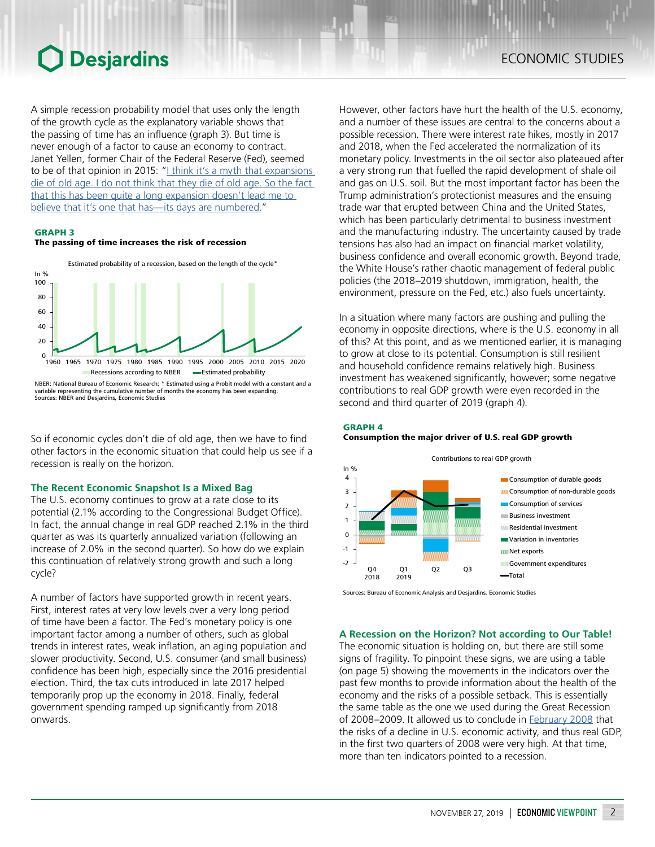## **O** Desjardins

A simple recession probability model that uses only the length of the growth cycle as the explanatory variable shows that the passing of time has an influence (graph 3). But time is never enough of a factor to cause an economy to contract. Janet Yellen, former Chair of the Federal Reserve (Fed), seemed to be of that opinion in 2015: "I think it's a myth that expansions [die of old age. I do not think that they die of old age. So the fact](https://www.federalreserve.gov/mediacenter/files/FOMCpresconf20151216.pdf)  [that this has been quite a long expansion doesn't lead me to](https://www.federalreserve.gov/mediacenter/files/FOMCpresconf20151216.pdf)  [believe that it's one that has—its days are numbered.](https://www.federalreserve.gov/mediacenter/files/FOMCpresconf20151216.pdf)"

#### GRAPH 3

#### The passing of time increases the risk of recession



NBER: National Bureau of Economic Research; \* Estimated using a Probit model with a constant and a variable representing the cumulative number of months the economy has been expanding. Sources: NBER and Desjardins, Economic Studies

So if economic cycles don't die of old age, then we have to find other factors in the economic situation that could help us see if a recession is really on the horizon.

### **The Recent Economic Snapshot Is a Mixed Bag**

The U.S. economy continues to grow at a rate close to its potential (2.1% according to the Congressional Budget Office). In fact, the annual change in real GDP reached 2.1% in the third quarter as was its quarterly annualized variation (following an increase of 2.0% in the second quarter). So how do we explain this continuation of relatively strong growth and such a long cycle?

A number of factors have supported growth in recent years. First, interest rates at very low levels over a very long period of time have been a factor. The Fed's monetary policy is one important factor among a number of others, such as global trends in interest rates, weak inflation, an aging population and slower productivity. Second, U.S. consumer (and small business) confidence has been high, especially since the 2016 presidential election. Third, the tax cuts introduced in late 2017 helped temporarily prop up the economy in 2018. Finally, federal government spending ramped up significantly from 2018 onwards.

However, other factors have hurt the health of the U.S. economy, and a number of these issues are central to the concerns about a possible recession. There were interest rate hikes, mostly in 2017 and 2018, when the Fed accelerated the normalization of its monetary policy. Investments in the oil sector also plateaued after a very strong run that fuelled the rapid development of shale oil and gas on U.S. soil. But the most important factor has been the Trump administration's protectionist measures and the ensuing trade war that erupted between China and the United States, which has been particularly detrimental to business investment and the manufacturing industry. The uncertainty caused by trade tensions has also had an impact on financial market volatility, business confidence and overall economic growth. Beyond trade, the White House's rather chaotic management of federal public policies (the 2018–2019 shutdown, immigration, health, the environment, pressure on the Fed, etc.) also fuels uncertainty.

In a situation where many factors are pushing and pulling the economy in opposite directions, where is the U.S. economy in all of this? At this point, and as we mentioned earlier, it is managing to grow at close to its potential. Consumption is still resilient and household confidence remains relatively high. Business investment has weakened significantly, however; some negative contributions to real GDP growth were even recorded in the second and third quarter of 2019 (graph 4).

### GRAPH 4 Consumption the major driver of U.S. real GDP growth



Sources: Bureau of Economic Analysis and Desjardins, Economic Studies

### **A Recession on the Horizon? Not according to Our Table!**

The economic situation is holding on, but there are still some signs of fragility. To pinpoint these signs, we are using a table (on page 5) showing the movements in the indicators over the past few months to provide information about the health of the economy and the risks of a possible setback. This is essentially the same table as the one we used during the Great Recession of 2008–2009. It allowed us to conclude in [February](https://www.desjardins.com/en/a_propos/etudes_economiques/actualites/point_vue_economique/pve80214.pdf) 2008 that the risks of a decline in U.S. economic activity, and thus real GDP, in the first two quarters of 2008 were very high. At that time, more than ten indicators pointed to a recession.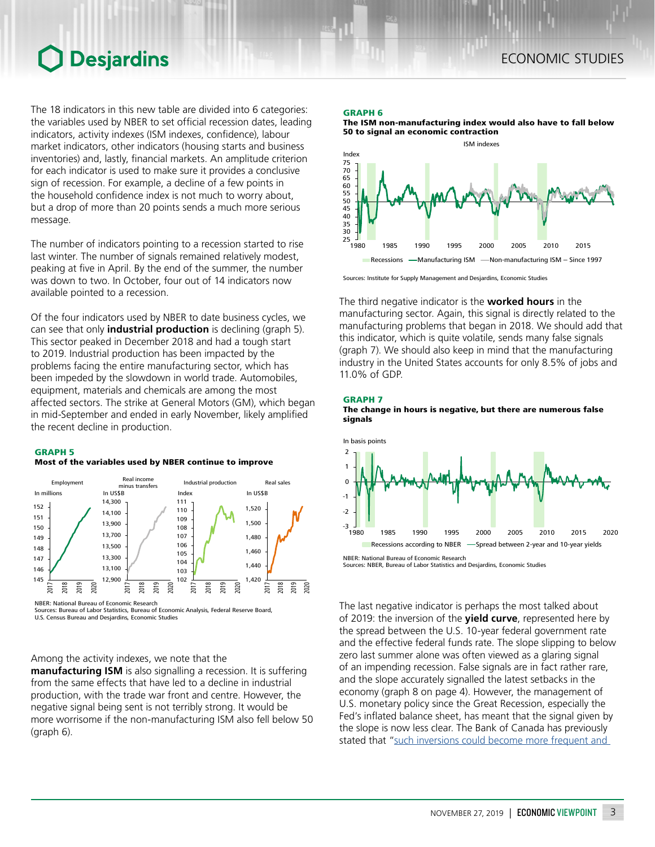## ECONOMIC STUDIES

## **O** Desjardins

The 18 indicators in this new table are divided into 6 categories: the variables used by NBER to set official recession dates, leading indicators, activity indexes (ISM indexes, confidence), labour market indicators, other indicators (housing starts and business inventories) and, lastly, financial markets. An amplitude criterion for each indicator is used to make sure it provides a conclusive sign of recession. For example, a decline of a few points in the household confidence index is not much to worry about, but a drop of more than 20 points sends a much more serious message.

The number of indicators pointing to a recession started to rise last winter. The number of signals remained relatively modest, peaking at five in April. By the end of the summer, the number was down to two. In October, four out of 14 indicators now available pointed to a recession.

Of the four indicators used by NBER to date business cycles, we can see that only **industrial production** is declining (graph 5). This sector peaked in December 2018 and had a tough start to 2019. Industrial production has been impacted by the problems facing the entire manufacturing sector, which has been impeded by the slowdown in world trade. Automobiles, equipment, materials and chemicals are among the most affected sectors. The strike at General Motors (GM), which began in mid-September and ended in early November, likely amplified the recent decline in production.

### GRAPH 5

#### Most of the variables used by NBER continue to improve



NBER: National Bureau of Economic Research

Sources: Bureau of Labor Statistics, Bureau of Economic Analysis, Federal Reserve Board, U.S. Census Bureau and Desjardins, Economic Studies

Among the activity indexes, we note that the

**manufacturing ISM** is also signalling a recession. It is suffering from the same effects that have led to a decline in industrial production, with the trade war front and centre. However, the negative signal being sent is not terribly strong. It would be more worrisome if the non-manufacturing ISM also fell below 50 (graph 6).

### GRAPH 6

The ISM non-manufacturing index would also have to fall below 50 to signal an economic contraction



Sources: Institute for Supply Management and Desjardins, Economic Studies

The third negative indicator is the **worked hours** in the manufacturing sector. Again, this signal is directly related to the manufacturing problems that began in 2018. We should add that this indicator, which is quite volatile, sends many false signals (graph 7). We should also keep in mind that the manufacturing industry in the United States accounts for only 8.5% of jobs and 11.0% of GDP.







NBER: National Bureau of Economic Research Sources: NBER, Bureau of Labor Statistics and Desjardins, Economic Studies

The last negative indicator is perhaps the most talked about of 2019: the inversion of the **yield curve**, represented here by the spread between the U.S. 10-year federal government rate and the effective federal funds rate. The slope slipping to below zero last summer alone was often viewed as a glaring signal of an impending recession. False signals are in fact rather rare, and the slope accurately signalled the latest setbacks in the economy (graph 8 on page 4). However, the management of U.S. monetary policy since the Great Recession, especially the Fed's inflated balance sheet, has meant that the signal given by the slope is now less clear. The Bank of Canada has previously stated that "such inversions could become more frequent and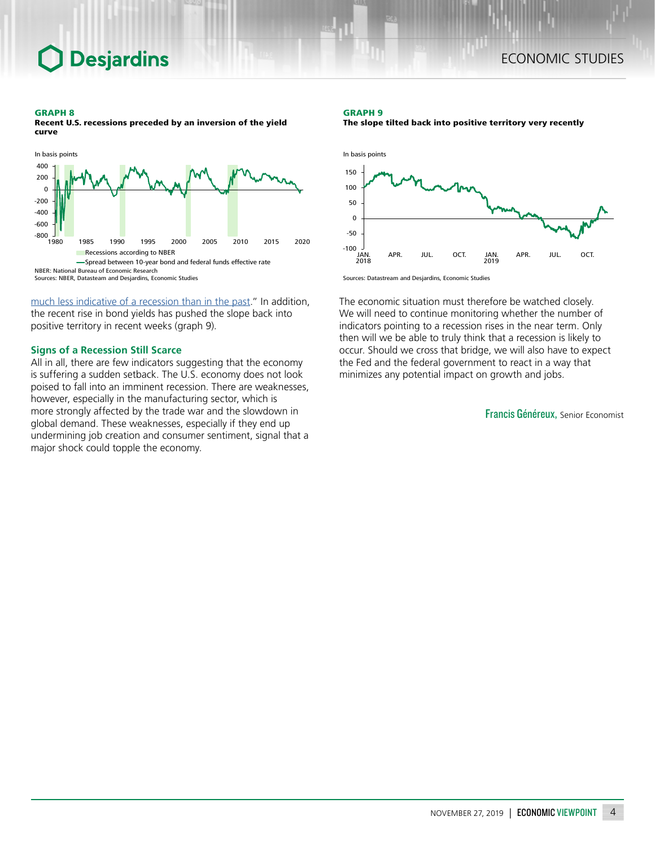### GRAPH 8

Recent U.S. recessions preceded by an inversion of the yield curve



Sources: NBER, Datasteam and Desjardins, Economic Studies

**Desjardins** 

[much less indicative of a recession than in the past.](https://www.banqueducanada.ca/wp-content/uploads/2019/07/rpm-2019-07-10.pdf)" In addition, the recent rise in bond yields has pushed the slope back into positive territory in recent weeks (graph 9).

#### **Signs of a Recession Still Scarce**

All in all, there are few indicators suggesting that the economy is suffering a sudden setback. The U.S. economy does not look poised to fall into an imminent recession. There are weaknesses, however, especially in the manufacturing sector, which is more strongly affected by the trade war and the slowdown in global demand. These weaknesses, especially if they end up undermining job creation and consumer sentiment, signal that a major shock could topple the economy.

#### GRAPH 9

The slope tilted back into positive territory very recently



Sources: Datastream and Desjardins, Economic Studies

The economic situation must therefore be watched closely. We will need to continue monitoring whether the number of indicators pointing to a recession rises in the near term. Only then will we be able to truly think that a recession is likely to occur. Should we cross that bridge, we will also have to expect the Fed and the federal government to react in a way that minimizes any potential impact on growth and jobs.

Francis Généreux, Senior Economist